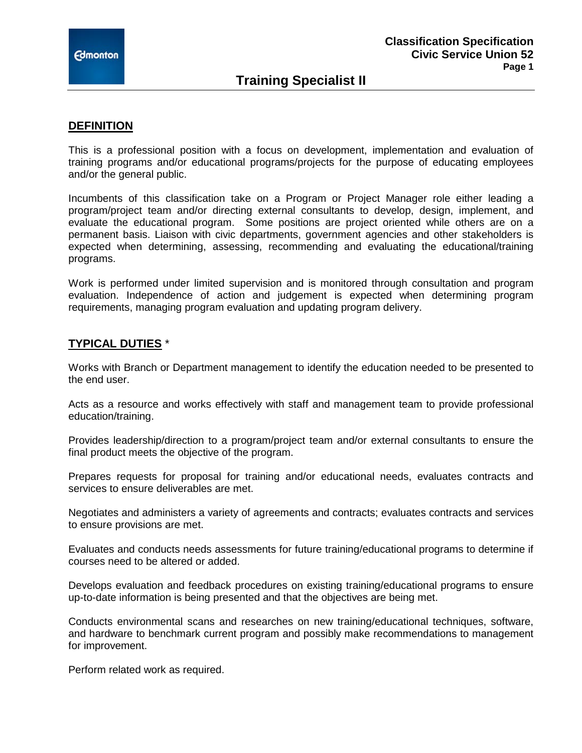# **Training Specialist II**

### **DEFINITION**

This is a professional position with a focus on development, implementation and evaluation of training programs and/or educational programs/projects for the purpose of educating employees and/or the general public.

Incumbents of this classification take on a Program or Project Manager role either leading a program/project team and/or directing external consultants to develop, design, implement, and evaluate the educational program. Some positions are project oriented while others are on a permanent basis. Liaison with civic departments, government agencies and other stakeholders is expected when determining, assessing, recommending and evaluating the educational/training programs.

Work is performed under limited supervision and is monitored through consultation and program evaluation. Independence of action and judgement is expected when determining program requirements, managing program evaluation and updating program delivery.

### **TYPICAL DUTIES** \*

Works with Branch or Department management to identify the education needed to be presented to the end user.

Acts as a resource and works effectively with staff and management team to provide professional education/training.

Provides leadership/direction to a program/project team and/or external consultants to ensure the final product meets the objective of the program.

Prepares requests for proposal for training and/or educational needs, evaluates contracts and services to ensure deliverables are met.

Negotiates and administers a variety of agreements and contracts; evaluates contracts and services to ensure provisions are met.

Evaluates and conducts needs assessments for future training/educational programs to determine if courses need to be altered or added.

Develops evaluation and feedback procedures on existing training/educational programs to ensure up-to-date information is being presented and that the objectives are being met.

Conducts environmental scans and researches on new training/educational techniques, software, and hardware to benchmark current program and possibly make recommendations to management for improvement.

Perform related work as required.